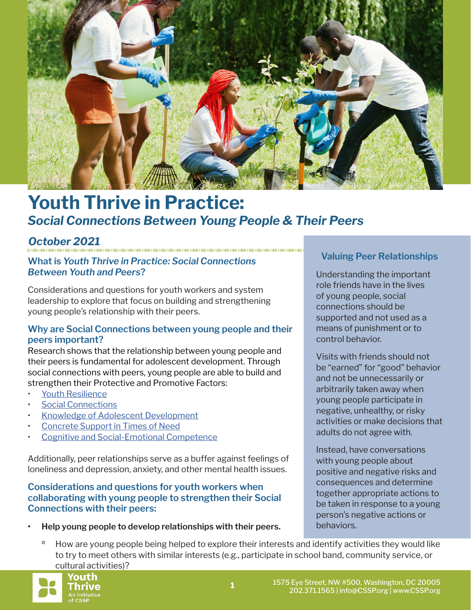

# **Youth Thrive in Practice:** *Social Connections Between Young People & Their Peers*

*October 2021*

# **What is** *Youth Thrive in Practice: Social Connections Between Youth and Peers***?**

Considerations and questions for youth workers and system leadership to explore that focus on building and strengthening young people's relationship with their peers.

#### **Why are Social Connections between young people and their peers important?**

Research shows that the relationship between young people and their peers is fundamental for adolescent development. Through social connections with peers, young people are able to build and strengthen their Protective and Promotive Factors:

- [Youth Resilience](https://cssp.org/resource/yt-youth-resilience/)
- [Social Connections](https://cssp.org/resource/yt-social-connections/)
- [Knowledge of Adolescent Development](https://cssp.org/resource/yt-knowledge-of-adolescent-development/)
- [Concrete Support in Times of Need](https://cssp.org/resource/yt-concrete-support-in-times-of-need/)
- [Cognitive and Social-Emotional Competence](https://cssp.org/resource/yt-cognitive-and-social-emotional-competence-in-youth/)

Additionally, peer relationships serve as a buffer against feelings of loneliness and depression, anxiety, and other mental health issues.

#### **Considerations and questions for youth workers when collaborating with young people to strengthen their Social Connections with their peers:**

#### **• Help young people to develop relationships with their peers.**

# **Valuing Peer Relationships**

Understanding the important role friends have in the lives of young people, social connections should be supported and not used as a means of punishment or to control behavior.

Visits with friends should not be "earned" for "good" behavior and not be unnecessarily or arbitrarily taken away when young people participate in negative, unhealthy, or risky activities or make decisions that adults do not agree with.

Instead, have conversations with young people about positive and negative risks and consequences and determine together appropriate actions to be taken in response to a young person's negative actions or behaviors.

How are young people being helped to explore their interests and identify activities they would like to try to meet others with similar interests (e.g., participate in school band, community service, or cultural activities)?

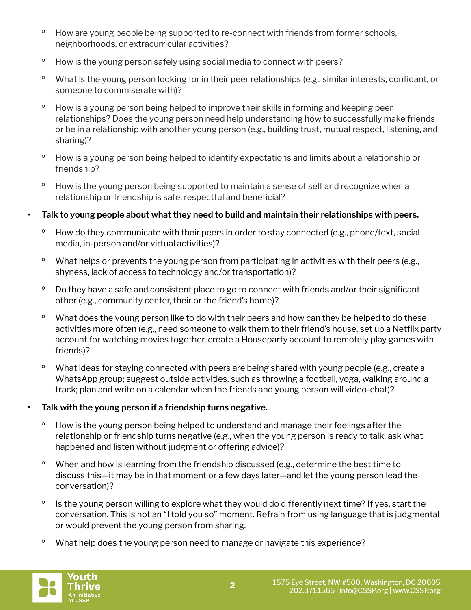- <sup>o</sup> How are young people being supported to re-connect with friends from former schools, neighborhoods, or extracurricular activities?
- º How is the young person safely using social media to connect with peers?
- º What is the young person looking for in their peer relationships (e.g., similar interests, confidant, or someone to commiserate with)?
- º How is a young person being helped to improve their skills in forming and keeping peer relationships? Does the young person need help understanding how to successfully make friends or be in a relationship with another young person (e.g., building trust, mutual respect, listening, and sharing)?
- º How is a young person being helped to identify expectations and limits about a relationship or friendship?
- <sup>o</sup> How is the young person being supported to maintain a sense of self and recognize when a relationship or friendship is safe, respectful and beneficial?

## **• Talk to young people about what they need to build and maintain their relationships with peers.**

- <sup>o</sup> How do they communicate with their peers in order to stay connected (e.g., phone/text, social media, in-person and/or virtual activities)?
- <sup>o</sup> What helps or prevents the young person from participating in activities with their peers (e.g., shyness, lack of access to technology and/or transportation)?
- <sup>o</sup> Do they have a safe and consistent place to go to connect with friends and/or their significant other (e.g., community center, their or the friend's home)?
- <sup>o</sup> What does the young person like to do with their peers and how can they be helped to do these activities more often (e.g., need someone to walk them to their friend's house, set up a Netflix party account for watching movies together, create a Houseparty account to remotely play games with friends)?
- <sup>o</sup> What ideas for staying connected with peers are being shared with young people (e.g., create a WhatsApp group; suggest outside activities, such as throwing a football, yoga, walking around a track; plan and write on a calendar when the friends and young person will video-chat)?

#### **• Talk with the young person if a friendship turns negative.**

- º How is the young person being helped to understand and manage their feelings after the relationship or friendship turns negative (e.g., when the young person is ready to talk, ask what happened and listen without judgment or offering advice)?
- º When and how is learning from the friendship discussed (e.g., determine the best time to discuss this—it may be in that moment or a few days later—and let the young person lead the conversation)?
- <sup>o</sup> Is the young person willing to explore what they would do differently next time? If yes, start the conversation. This is not an "I told you so" moment. Refrain from using language that is judgmental or would prevent the young person from sharing.
- º What help does the young person need to manage or navigate this experience?

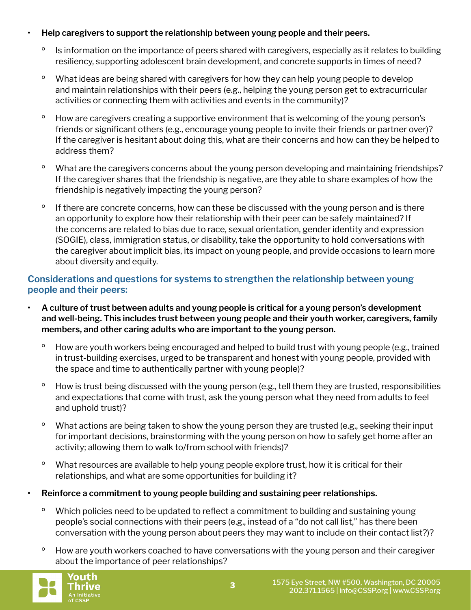# **• Help caregivers to support the relationship between young people and their peers.**

- <sup>o</sup> Is information on the importance of peers shared with caregivers, especially as it relates to building resiliency, supporting adolescent brain development, and concrete supports in times of need?
- <sup>o</sup> What ideas are being shared with caregivers for how they can help young people to develop and maintain relationships with their peers (e.g., helping the young person get to extracurricular activities or connecting them with activities and events in the community)?
- <sup>o</sup> How are caregivers creating a supportive environment that is welcoming of the young person's friends or significant others (e.g., encourage young people to invite their friends or partner over)? If the caregiver is hesitant about doing this, what are their concerns and how can they be helped to address them?
- <sup>o</sup> What are the caregivers concerns about the young person developing and maintaining friendships? If the caregiver shares that the friendship is negative, are they able to share examples of how the friendship is negatively impacting the young person?
- <sup>o</sup> If there are concrete concerns, how can these be discussed with the young person and is there an opportunity to explore how their relationship with their peer can be safely maintained? If the concerns are related to bias due to race, sexual orientation, gender identity and expression (SOGIE), class, immigration status, or disability, take the opportunity to hold conversations with the caregiver about implicit bias, its impact on young people, and provide occasions to learn more about diversity and equity.

# **Considerations and questions for systems to strengthen the relationship between young people and their peers:**

- **• A culture of trust between adults and young people is critical for a young person's development and well-being. This includes trust between young people and their youth worker, caregivers, family members, and other caring adults who are important to the young person.** 
	- <sup>o</sup> How are youth workers being encouraged and helped to build trust with young people (e.g., trained in trust-building exercises, urged to be transparent and honest with young people, provided with the space and time to authentically partner with young people)?
	- <sup>o</sup> How is trust being discussed with the young person (e.g., tell them they are trusted, responsibilities and expectations that come with trust, ask the young person what they need from adults to feel and uphold trust)?
	- <sup>o</sup> What actions are being taken to show the young person they are trusted (e.g., seeking their input for important decisions, brainstorming with the young person on how to safely get home after an activity; allowing them to walk to/from school with friends)?
	- <sup>o</sup> What resources are available to help young people explore trust, how it is critical for their relationships, and what are some opportunities for building it?
- **• Reinforce a commitment to young people building and sustaining peer relationships.** 
	- <sup>o</sup> Which policies need to be updated to reflect a commitment to building and sustaining young people's social connections with their peers (e.g., instead of a "do not call list," has there been conversation with the young person about peers they may want to include on their contact list?)?
	- <sup>o</sup> How are youth workers coached to have conversations with the young person and their caregiver about the importance of peer relationships?